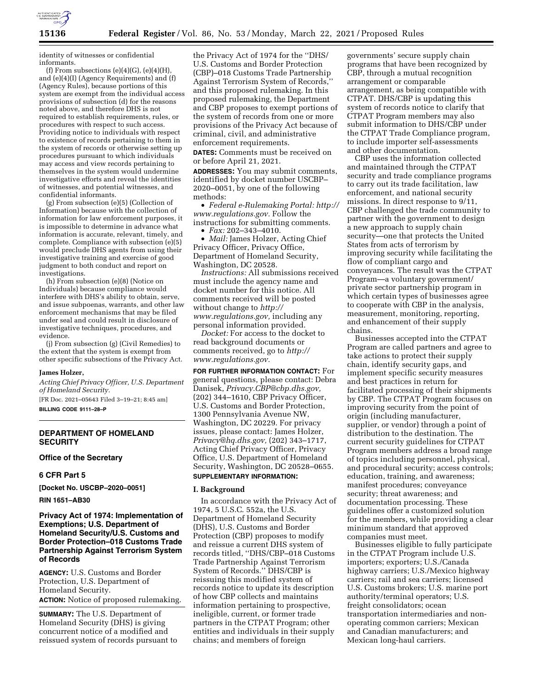

identity of witnesses or confidential informants.

(f) From subsections  $(e)(4)(G)$ ,  $(e)(4)(H)$ , and (e)(4)(I) (Agency Requirements) and (f) (Agency Rules), because portions of this system are exempt from the individual access provisions of subsection (d) for the reasons noted above, and therefore DHS is not required to establish requirements, rules, or procedures with respect to such access. Providing notice to individuals with respect to existence of records pertaining to them in the system of records or otherwise setting up procedures pursuant to which individuals may access and view records pertaining to themselves in the system would undermine investigative efforts and reveal the identities of witnesses, and potential witnesses, and confidential informants.

(g) From subsection (e)(5) (Collection of Information) because with the collection of information for law enforcement purposes, it is impossible to determine in advance what information is accurate, relevant, timely, and complete. Compliance with subsection (e)(5) would preclude DHS agents from using their investigative training and exercise of good judgment to both conduct and report on investigations.

(h) From subsection (e)(8) (Notice on Individuals) because compliance would interfere with DHS's ability to obtain, serve, and issue subpoenas, warrants, and other law enforcement mechanisms that may be filed under seal and could result in disclosure of investigative techniques, procedures, and evidence.

(j) From subsection (g) (Civil Remedies) to the extent that the system is exempt from other specific subsections of the Privacy Act.

#### **James Holzer,**

*Acting Chief Privacy Officer, U.S. Department of Homeland Security.* 

[FR Doc. 2021–05643 Filed 3–19–21; 8:45 am] **BILLING CODE 9111–28–P** 

### **DEPARTMENT OF HOMELAND SECURITY**

**Office of the Secretary** 

### **6 CFR Part 5**

**[Docket No. USCBP–2020–0051]** 

### **RIN 1651–AB30**

# **Privacy Act of 1974: Implementation of Exemptions; U.S. Department of Homeland Security/U.S. Customs and Border Protection–018 Customs Trade Partnership Against Terrorism System of Records**

**AGENCY:** U.S. Customs and Border Protection, U.S. Department of Homeland Security. **ACTION:** Notice of proposed rulemaking.

**SUMMARY:** The U.S. Department of Homeland Security (DHS) is giving concurrent notice of a modified and reissued system of records pursuant to the Privacy Act of 1974 for the ''DHS/ U.S. Customs and Border Protection (CBP)–018 Customs Trade Partnership Against Terrorism System of Records,'' and this proposed rulemaking. In this proposed rulemaking, the Department and CBP proposes to exempt portions of the system of records from one or more provisions of the Privacy Act because of criminal, civil, and administrative enforcement requirements.

**DATES:** Comments must be received on or before April 21, 2021.

**ADDRESSES:** You may submit comments, identified by docket number USCBP– 2020–0051, by one of the following methods:

• *Federal e-Rulemaking Portal: [http://](http://www.regulations.gov)  [www.regulations.gov.](http://www.regulations.gov)* Follow the instructions for submitting comments.

• *Fax:* 202–343–4010.

• *Mail:* James Holzer, Acting Chief Privacy Officer, Privacy Office, Department of Homeland Security, Washington, DC 20528.

*Instructions:* All submissions received must include the agency name and docket number for this notice. All comments received will be posted without change to *[http://](http://www.regulations.gov) [www.regulations.gov,](http://www.regulations.gov)* including any personal information provided.

*Docket:* For access to the docket to read background documents or comments received, go to *[http://](http://www.regulations.gov) [www.regulations.gov.](http://www.regulations.gov)* 

**FOR FURTHER INFORMATION CONTACT:** For general questions, please contact: Debra Danisek, *[Privacy.CBP@cbp.dhs.gov,](mailto:Privacy.CBP@cbp.dhs.gov)*  (202) 344–1610, CBP Privacy Officer, U.S. Customs and Border Protection, 1300 Pennsylvania Avenue NW, Washington, DC 20229. For privacy issues, please contact: James Holzer, *[Privacy@hq.dhs.gov,](mailto:Privacy@hq.dhs.gov)* (202) 343–1717, Acting Chief Privacy Officer, Privacy Office, U.S. Department of Homeland Security, Washington, DC 20528–0655. **SUPPLEMENTARY INFORMATION:** 

### **I. Background**

In accordance with the Privacy Act of 1974, 5 U.S.C. 552a, the U.S. Department of Homeland Security (DHS), U.S. Customs and Border Protection (CBP) proposes to modify and reissue a current DHS system of records titled, ''DHS/CBP–018 Customs Trade Partnership Against Terrorism System of Records.'' DHS/CBP is reissuing this modified system of records notice to update its description of how CBP collects and maintains information pertaining to prospective, ineligible, current, or former trade partners in the CTPAT Program; other entities and individuals in their supply chains; and members of foreign

governments' secure supply chain programs that have been recognized by CBP, through a mutual recognition arrangement or comparable arrangement, as being compatible with CTPAT. DHS/CBP is updating this system of records notice to clarify that CTPAT Program members may also submit information to DHS/CBP under the CTPAT Trade Compliance program, to include importer self-assessments and other documentation.

CBP uses the information collected and maintained through the CTPAT security and trade compliance programs to carry out its trade facilitation, law enforcement, and national security missions. In direct response to 9/11, CBP challenged the trade community to partner with the government to design a new approach to supply chain security—one that protects the United States from acts of terrorism by improving security while facilitating the flow of compliant cargo and conveyances. The result was the CTPAT Program—a voluntary government/ private sector partnership program in which certain types of businesses agree to cooperate with CBP in the analysis, measurement, monitoring, reporting, and enhancement of their supply chains.

Businesses accepted into the CTPAT Program are called partners and agree to take actions to protect their supply chain, identify security gaps, and implement specific security measures and best practices in return for facilitated processing of their shipments by CBP. The CTPAT Program focuses on improving security from the point of origin (including manufacturer, supplier, or vendor) through a point of distribution to the destination. The current security guidelines for CTPAT Program members address a broad range of topics including personnel, physical, and procedural security; access controls; education, training, and awareness; manifest procedures; conveyance security; threat awareness; and documentation processing. These guidelines offer a customized solution for the members, while providing a clear minimum standard that approved companies must meet.

Businesses eligible to fully participate in the CTPAT Program include U.S. importers; exporters; U.S./Canada highway carriers; U.S./Mexico highway carriers; rail and sea carriers; licensed U.S. Customs brokers; U.S. marine port authority/terminal operators; U.S. freight consolidators; ocean transportation intermediaries and nonoperating common carriers; Mexican and Canadian manufacturers; and Mexican long-haul carriers.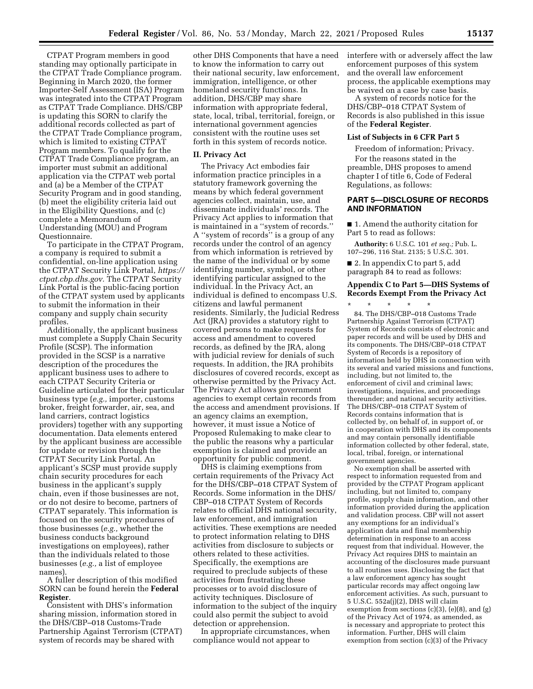CTPAT Program members in good standing may optionally participate in the CTPAT Trade Compliance program. Beginning in March 2020, the former Importer-Self Assessment (ISA) Program was integrated into the CTPAT Program as CTPAT Trade Compliance. DHS/CBP is updating this SORN to clarify the additional records collected as part of the CTPAT Trade Compliance program, which is limited to existing CTPAT Program members. To qualify for the CTPAT Trade Compliance program, an importer must submit an additional application via the CTPAT web portal and (a) be a Member of the CTPAT Security Program and in good standing, (b) meet the eligibility criteria laid out in the Eligibility Questions, and (c) complete a Memorandum of Understanding (MOU) and Program Questionnaire.

To participate in the CTPAT Program, a company is required to submit a confidential, on-line application using the CTPAT Security Link Portal, *[https://](https://ctpat.cbp.dhs.gov)  [ctpat.cbp.dhs.gov.](https://ctpat.cbp.dhs.gov)* The CTPAT Security Link Portal is the public-facing portion of the CTPAT system used by applicants to submit the information in their company and supply chain security profiles.

Additionally, the applicant business must complete a Supply Chain Security Profile (SCSP). The information provided in the SCSP is a narrative description of the procedures the applicant business uses to adhere to each CTPAT Security Criteria or Guideline articulated for their particular business type (*e.g.,* importer, customs broker, freight forwarder, air, sea, and land carriers, contract logistics providers) together with any supporting documentation. Data elements entered by the applicant business are accessible for update or revision through the CTPAT Security Link Portal. An applicant's SCSP must provide supply chain security procedures for each business in the applicant's supply chain, even if those businesses are not, or do not desire to become, partners of CTPAT separately. This information is focused on the security procedures of those businesses (*e.g.,* whether the business conducts background investigations on employees), rather than the individuals related to those businesses (*e.g.,* a list of employee names).

A fuller description of this modified SORN can be found herein the **Federal Register**.

Consistent with DHS's information sharing mission, information stored in the DHS/CBP–018 Customs-Trade Partnership Against Terrorism (CTPAT) system of records may be shared with

other DHS Components that have a need to know the information to carry out their national security, law enforcement, immigration, intelligence, or other homeland security functions. In addition, DHS/CBP may share information with appropriate federal, state, local, tribal, territorial, foreign, or international government agencies consistent with the routine uses set forth in this system of records notice.

### **II. Privacy Act**

The Privacy Act embodies fair information practice principles in a statutory framework governing the means by which federal government agencies collect, maintain, use, and disseminate individuals' records. The Privacy Act applies to information that is maintained in a ''system of records.'' A ''system of records'' is a group of any records under the control of an agency from which information is retrieved by the name of the individual or by some identifying number, symbol, or other identifying particular assigned to the individual. In the Privacy Act, an individual is defined to encompass U.S. citizens and lawful permanent residents. Similarly, the Judicial Redress Act (JRA) provides a statutory right to covered persons to make requests for access and amendment to covered records, as defined by the JRA, along with judicial review for denials of such requests. In addition, the JRA prohibits disclosures of covered records, except as otherwise permitted by the Privacy Act. The Privacy Act allows government agencies to exempt certain records from the access and amendment provisions. If an agency claims an exemption, however, it must issue a Notice of Proposed Rulemaking to make clear to the public the reasons why a particular exemption is claimed and provide an opportunity for public comment.

DHS is claiming exemptions from certain requirements of the Privacy Act for the DHS/CBP–018 CTPAT System of Records. Some information in the DHS/ CBP–018 CTPAT System of Records relates to official DHS national security, law enforcement, and immigration activities. These exemptions are needed to protect information relating to DHS activities from disclosure to subjects or others related to these activities. Specifically, the exemptions are required to preclude subjects of these activities from frustrating these processes or to avoid disclosure of activity techniques. Disclosure of information to the subject of the inquiry could also permit the subject to avoid detection or apprehension.

In appropriate circumstances, when compliance would not appear to

interfere with or adversely affect the law enforcement purposes of this system and the overall law enforcement process, the applicable exemptions may be waived on a case by case basis.

A system of records notice for the DHS/CBP–018 CTPAT System of Records is also published in this issue of the **Federal Register**.

# **List of Subjects in 6 CFR Part 5**

Freedom of information; Privacy. For the reasons stated in the preamble, DHS proposes to amend chapter I of title 6, Code of Federal Regulations, as follows:

### **PART 5—DISCLOSURE OF RECORDS AND INFORMATION**

■ 1. Amend the authority citation for Part 5 to read as follows:

**Authority:** 6 U.S.C. 101 *et seq.;* Pub. L. 107–296, 116 Stat. 2135; 5 U.S.C. 301.

■ 2. In appendix C to part 5, add paragraph 84 to read as follows:

# **Appendix C to Part 5—DHS Systems of Records Exempt From the Privacy Act**

\* \* \* \* \* 84. The DHS/CBP–018 Customs Trade Partnership Against Terrorism (CTPAT) System of Records consists of electronic and paper records and will be used by DHS and its components. The DHS/CBP–018 CTPAT System of Records is a repository of information held by DHS in connection with its several and varied missions and functions, including, but not limited to, the enforcement of civil and criminal laws; investigations, inquiries, and proceedings thereunder; and national security activities. The DHS/CBP–018 CTPAT System of Records contains information that is collected by, on behalf of, in support of, or in cooperation with DHS and its components and may contain personally identifiable information collected by other federal, state, local, tribal, foreign, or international government agencies.

No exemption shall be asserted with respect to information requested from and provided by the CTPAT Program applicant including, but not limited to, company profile, supply chain information, and other information provided during the application and validation process. CBP will not assert any exemptions for an individual's application data and final membership determination in response to an access request from that individual. However, the Privacy Act requires DHS to maintain an accounting of the disclosures made pursuant to all routines uses. Disclosing the fact that a law enforcement agency has sought particular records may affect ongoing law enforcement activities. As such, pursuant to 5 U.S.C. 552a(j)(2), DHS will claim exemption from sections  $(c)(3)$ ,  $(e)(8)$ , and  $(g)$ of the Privacy Act of 1974, as amended, as is necessary and appropriate to protect this information. Further, DHS will claim exemption from section (c)(3) of the Privacy